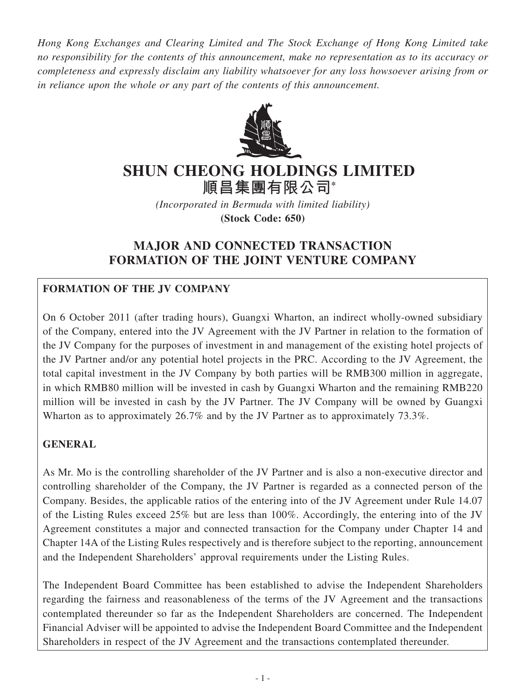*Hong Kong Exchanges and Clearing Limited and The Stock Exchange of Hong Kong Limited take no responsibility for the contents of this announcement, make no representation as to its accuracy or completeness and expressly disclaim any liability whatsoever for any loss howsoever arising from or in reliance upon the whole or any part of the contents of this announcement.*



# **SHUN CHEONG HOlDINGS lIMITED**

**順昌集團有限公司\***

*(Incorporated in Bermuda with limited liability)* **(Stock Code: 650)**

# **MAJOR AND CONNECTED TRANSACTION FORMATION OF THE JOINT VENTURE COMPANY**

# **Formation of the JV Company**

On 6 October 2011 (after trading hours), Guangxi Wharton, an indirect wholly-owned subsidiary of the Company, entered into the JV Agreement with the JV Partner in relation to the formation of the JV Company for the purposes of investment in and management of the existing hotel projects of the JV Partner and/or any potential hotel projects in the PRC. According to the JV Agreement, the total capital investment in the JV Company by both parties will be RMB300 million in aggregate, in which RMB80 million will be invested in cash by Guangxi Wharton and the remaining RMB220 million will be invested in cash by the JV Partner. The JV Company will be owned by Guangxi Wharton as to approximately 26.7% and by the JV Partner as to approximately 73.3%.

# **General**

As Mr. Mo is the controlling shareholder of the JV Partner and is also a non-executive director and controlling shareholder of the Company, the JV Partner is regarded as a connected person of the Company. Besides, the applicable ratios of the entering into of the JV Agreement under Rule 14.07 of the Listing Rules exceed 25% but are less than 100%. Accordingly, the entering into of the JV Agreement constitutes a major and connected transaction for the Company under Chapter 14 and Chapter 14A of the Listing Rules respectively and is therefore subject to the reporting, announcement and the Independent Shareholders' approval requirements under the Listing Rules.

The Independent Board Committee has been established to advise the Independent Shareholders regarding the fairness and reasonableness of the terms of the JV Agreement and the transactions contemplated thereunder so far as the Independent Shareholders are concerned. The Independent Financial Adviser will be appointed to advise the Independent Board Committee and the Independent Shareholders in respect of the JV Agreement and the transactions contemplated thereunder.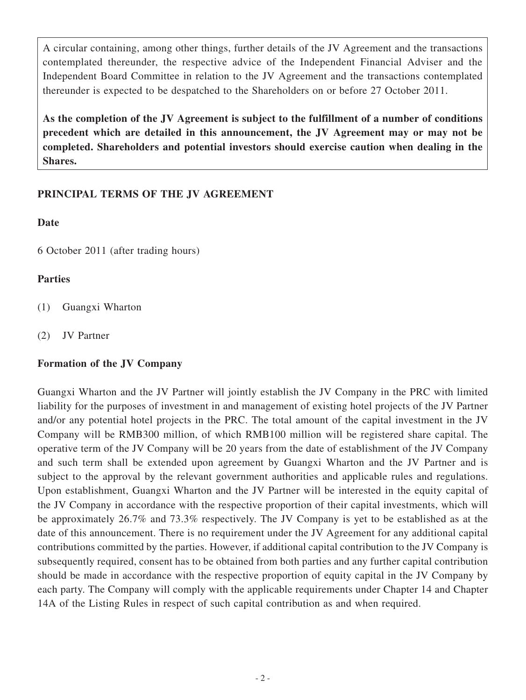A circular containing, among other things, further details of the JV Agreement and the transactions contemplated thereunder, the respective advice of the Independent Financial Adviser and the Independent Board Committee in relation to the JV Agreement and the transactions contemplated thereunder is expected to be despatched to the Shareholders on or before 27 October 2011.

**As the completion of the JV Agreement is subject to the fulfillment of a number of conditions precedent which are detailed in this announcement, the JV Agreement may or may not be completed. Shareholders and potential investors should exercise caution when dealing in the Shares.**

## **PRINCIPAL TERMS OF THE JV AGREEMENT**

#### **Date**

6 October 2011 (after trading hours)

#### **Parties**

- (1) Guangxi Wharton
- (2) JV Partner

#### **Formation of the JV Company**

Guangxi Wharton and the JV Partner will jointly establish the JV Company in the PRC with limited liability for the purposes of investment in and management of existing hotel projects of the JV Partner and/or any potential hotel projects in the PRC. The total amount of the capital investment in the JV Company will be RMB300 million, of which RMB100 million will be registered share capital. The operative term of the JV Company will be 20 years from the date of establishment of the JV Company and such term shall be extended upon agreement by Guangxi Wharton and the JV Partner and is subject to the approval by the relevant government authorities and applicable rules and regulations. Upon establishment, Guangxi Wharton and the JV Partner will be interested in the equity capital of the JV Company in accordance with the respective proportion of their capital investments, which will be approximately 26.7% and 73.3% respectively. The JV Company is yet to be established as at the date of this announcement. There is no requirement under the JV Agreement for any additional capital contributions committed by the parties. However, if additional capital contribution to the JV Company is subsequently required, consent has to be obtained from both parties and any further capital contribution should be made in accordance with the respective proportion of equity capital in the JV Company by each party. The Company will comply with the applicable requirements under Chapter 14 and Chapter 14A of the Listing Rules in respect of such capital contribution as and when required.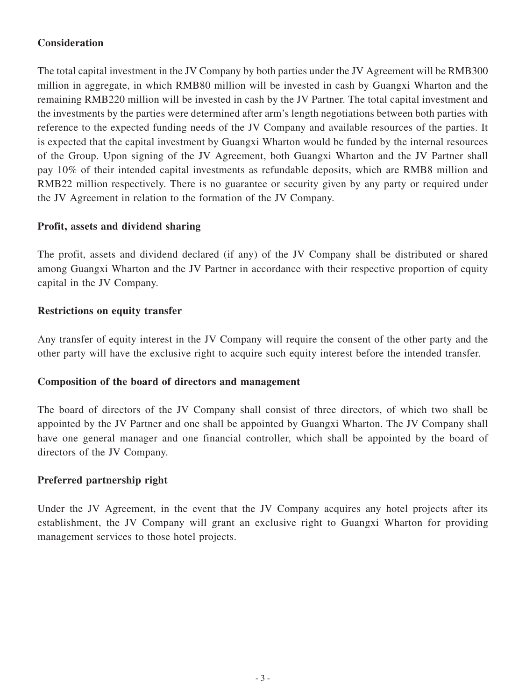# **Consideration**

The total capital investment in the JV Company by both parties under the JV Agreement will be RMB300 million in aggregate, in which RMB80 million will be invested in cash by Guangxi Wharton and the remaining RMB220 million will be invested in cash by the JV Partner. The total capital investment and the investments by the parties were determined after arm's length negotiations between both parties with reference to the expected funding needs of the JV Company and available resources of the parties. It is expected that the capital investment by Guangxi Wharton would be funded by the internal resources of the Group. Upon signing of the JV Agreement, both Guangxi Wharton and the JV Partner shall pay 10% of their intended capital investments as refundable deposits, which are RMB8 million and RMB22 million respectively. There is no guarantee or security given by any party or required under the JV Agreement in relation to the formation of the JV Company.

#### **Profit, assets and dividend sharing**

The profit, assets and dividend declared (if any) of the JV Company shall be distributed or shared among Guangxi Wharton and the JV Partner in accordance with their respective proportion of equity capital in the JV Company.

#### **Restrictions on equity transfer**

Any transfer of equity interest in the JV Company will require the consent of the other party and the other party will have the exclusive right to acquire such equity interest before the intended transfer.

#### **Composition of the board of directors and management**

The board of directors of the JV Company shall consist of three directors, of which two shall be appointed by the JV Partner and one shall be appointed by Guangxi Wharton. The JV Company shall have one general manager and one financial controller, which shall be appointed by the board of directors of the JV Company.

#### **Preferred partnership right**

Under the JV Agreement, in the event that the JV Company acquires any hotel projects after its establishment, the JV Company will grant an exclusive right to Guangxi Wharton for providing management services to those hotel projects.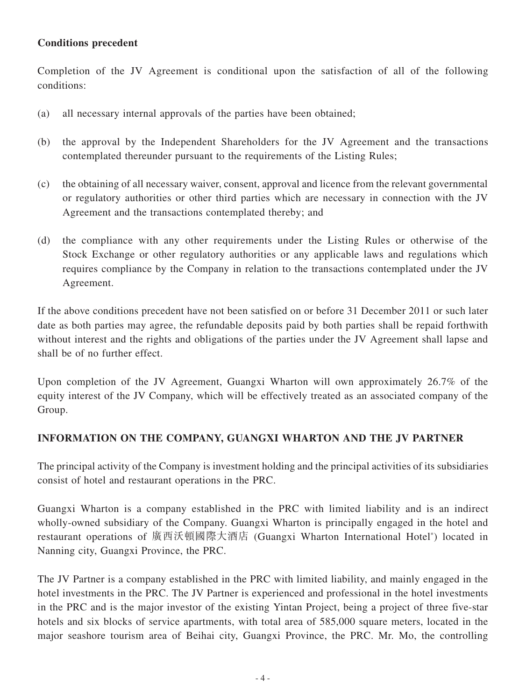## **Conditions precedent**

Completion of the JV Agreement is conditional upon the satisfaction of all of the following conditions:

- (a) all necessary internal approvals of the parties have been obtained;
- (b) the approval by the Independent Shareholders for the JV Agreement and the transactions contemplated thereunder pursuant to the requirements of the Listing Rules;
- (c) the obtaining of all necessary waiver, consent, approval and licence from the relevant governmental or regulatory authorities or other third parties which are necessary in connection with the JV Agreement and the transactions contemplated thereby; and
- (d) the compliance with any other requirements under the Listing Rules or otherwise of the Stock Exchange or other regulatory authorities or any applicable laws and regulations which requires compliance by the Company in relation to the transactions contemplated under the JV Agreement.

If the above conditions precedent have not been satisfied on or before 31 December 2011 or such later date as both parties may agree, the refundable deposits paid by both parties shall be repaid forthwith without interest and the rights and obligations of the parties under the JV Agreement shall lapse and shall be of no further effect.

Upon completion of the JV Agreement, Guangxi Wharton will own approximately 26.7% of the equity interest of the JV Company, which will be effectively treated as an associated company of the Group.

#### **INFORMATION ON THE COMPANY, GUANGXI WHARTON AND THE JV PARTNER**

The principal activity of the Company is investment holding and the principal activities of its subsidiaries consist of hotel and restaurant operations in the PRC.

Guangxi Wharton is a company established in the PRC with limited liability and is an indirect wholly-owned subsidiary of the Company. Guangxi Wharton is principally engaged in the hotel and restaurant operations of 廣西沃頓國際大酒店 (Guangxi Wharton International Hotel\* ) located in Nanning city, Guangxi Province, the PRC.

The JV Partner is a company established in the PRC with limited liability, and mainly engaged in the hotel investments in the PRC. The JV Partner is experienced and professional in the hotel investments in the PRC and is the major investor of the existing Yintan Project, being a project of three five-star hotels and six blocks of service apartments, with total area of 585,000 square meters, located in the major seashore tourism area of Beihai city, Guangxi Province, the PRC. Mr. Mo, the controlling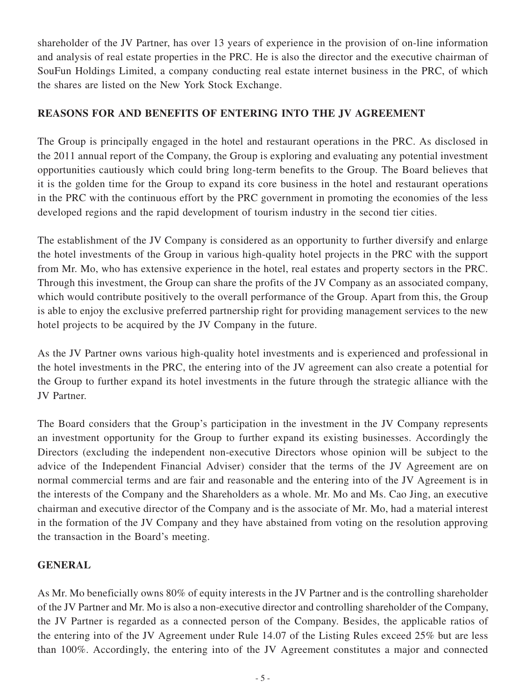shareholder of the JV Partner, has over 13 years of experience in the provision of on-line information and analysis of real estate properties in the PRC. He is also the director and the executive chairman of SouFun Holdings Limited, a company conducting real estate internet business in the PRC, of which the shares are listed on the New York Stock Exchange.

## **REASONS FOR AND BENEFITS OF ENTERING INTO THE JV AGREEMENT**

The Group is principally engaged in the hotel and restaurant operations in the PRC. As disclosed in the 2011 annual report of the Company, the Group is exploring and evaluating any potential investment opportunities cautiously which could bring long-term benefits to the Group. The Board believes that it is the golden time for the Group to expand its core business in the hotel and restaurant operations in the PRC with the continuous effort by the PRC government in promoting the economies of the less developed regions and the rapid development of tourism industry in the second tier cities.

The establishment of the JV Company is considered as an opportunity to further diversify and enlarge the hotel investments of the Group in various high-quality hotel projects in the PRC with the support from Mr. Mo, who has extensive experience in the hotel, real estates and property sectors in the PRC. Through this investment, the Group can share the profits of the JV Company as an associated company, which would contribute positively to the overall performance of the Group. Apart from this, the Group is able to enjoy the exclusive preferred partnership right for providing management services to the new hotel projects to be acquired by the JV Company in the future.

As the JV Partner owns various high-quality hotel investments and is experienced and professional in the hotel investments in the PRC, the entering into of the JV agreement can also create a potential for the Group to further expand its hotel investments in the future through the strategic alliance with the JV Partner.

The Board considers that the Group's participation in the investment in the JV Company represents an investment opportunity for the Group to further expand its existing businesses. Accordingly the Directors (excluding the independent non-executive Directors whose opinion will be subject to the advice of the Independent Financial Adviser) consider that the terms of the JV Agreement are on normal commercial terms and are fair and reasonable and the entering into of the JV Agreement is in the interests of the Company and the Shareholders as a whole. Mr. Mo and Ms. Cao Jing, an executive chairman and executive director of the Company and is the associate of Mr. Mo, had a material interest in the formation of the JV Company and they have abstained from voting on the resolution approving the transaction in the Board's meeting.

#### **GENERAL**

As Mr. Mo beneficially owns 80% of equity interests in the JV Partner and is the controlling shareholder of the JV Partner and Mr. Mo is also a non-executive director and controlling shareholder of the Company, the JV Partner is regarded as a connected person of the Company. Besides, the applicable ratios of the entering into of the JV Agreement under Rule 14.07 of the Listing Rules exceed 25% but are less than 100%. Accordingly, the entering into of the JV Agreement constitutes a major and connected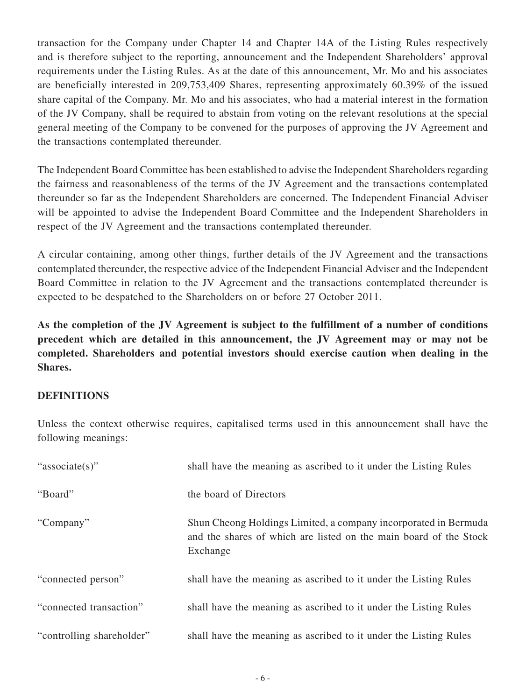transaction for the Company under Chapter 14 and Chapter 14A of the Listing Rules respectively and is therefore subject to the reporting, announcement and the Independent Shareholders' approval requirements under the Listing Rules. As at the date of this announcement, Mr. Mo and his associates are beneficially interested in 209,753,409 Shares, representing approximately 60.39% of the issued share capital of the Company. Mr. Mo and his associates, who had a material interest in the formation of the JV Company, shall be required to abstain from voting on the relevant resolutions at the special general meeting of the Company to be convened for the purposes of approving the JV Agreement and the transactions contemplated thereunder.

The Independent Board Committee has been established to advise the Independent Shareholders regarding the fairness and reasonableness of the terms of the JV Agreement and the transactions contemplated thereunder so far as the Independent Shareholders are concerned. The Independent Financial Adviser will be appointed to advise the Independent Board Committee and the Independent Shareholders in respect of the JV Agreement and the transactions contemplated thereunder.

A circular containing, among other things, further details of the JV Agreement and the transactions contemplated thereunder, the respective advice of the Independent Financial Adviser and the Independent Board Committee in relation to the JV Agreement and the transactions contemplated thereunder is expected to be despatched to the Shareholders on or before 27 October 2011.

**As the completion of the JV Agreement is subject to the fulfillment of a number of conditions precedent which are detailed in this announcement, the JV Agreement may or may not be completed. Shareholders and potential investors should exercise caution when dealing in the Shares.**

#### **DEFINITIONS**

Unless the context otherwise requires, capitalised terms used in this announcement shall have the following meanings:

| "associate(s)"            | shall have the meaning as ascribed to it under the Listing Rules                                                                                 |
|---------------------------|--------------------------------------------------------------------------------------------------------------------------------------------------|
| "Board"                   | the board of Directors                                                                                                                           |
| "Company"                 | Shun Cheong Holdings Limited, a company incorporated in Bermuda<br>and the shares of which are listed on the main board of the Stock<br>Exchange |
| "connected person"        | shall have the meaning as ascribed to it under the Listing Rules                                                                                 |
| "connected transaction"   | shall have the meaning as ascribed to it under the Listing Rules                                                                                 |
| "controlling shareholder" | shall have the meaning as ascribed to it under the Listing Rules                                                                                 |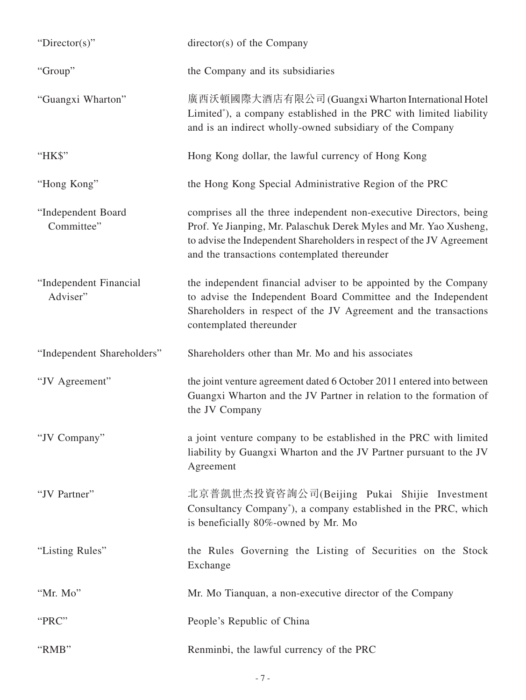| " $Directory$ "                    | director(s) of the Company                                                                                                                                                                                                                                       |
|------------------------------------|------------------------------------------------------------------------------------------------------------------------------------------------------------------------------------------------------------------------------------------------------------------|
| "Group"                            | the Company and its subsidiaries                                                                                                                                                                                                                                 |
| "Guangxi Wharton"                  | 廣西沃頓國際大酒店有限公司 (Guangxi Wharton International Hotel<br>Limited*), a company established in the PRC with limited liability<br>and is an indirect wholly-owned subsidiary of the Company                                                                            |
| "HK\$"                             | Hong Kong dollar, the lawful currency of Hong Kong                                                                                                                                                                                                               |
| "Hong Kong"                        | the Hong Kong Special Administrative Region of the PRC                                                                                                                                                                                                           |
| "Independent Board<br>Committee"   | comprises all the three independent non-executive Directors, being<br>Prof. Ye Jianping, Mr. Palaschuk Derek Myles and Mr. Yao Xusheng,<br>to advise the Independent Shareholders in respect of the JV Agreement<br>and the transactions contemplated thereunder |
| "Independent Financial<br>Adviser" | the independent financial adviser to be appointed by the Company<br>to advise the Independent Board Committee and the Independent<br>Shareholders in respect of the JV Agreement and the transactions<br>contemplated thereunder                                 |
| "Independent Shareholders"         | Shareholders other than Mr. Mo and his associates                                                                                                                                                                                                                |
| "JV Agreement"                     | the joint venture agreement dated 6 October 2011 entered into between<br>Guangxi Wharton and the JV Partner in relation to the formation of<br>the JV Company                                                                                                    |
| "JV Company"                       | a joint venture company to be established in the PRC with limited<br>liability by Guangxi Wharton and the JV Partner pursuant to the JV<br>Agreement                                                                                                             |
| "JV Partner"                       | 北京普凱世杰投資咨詢公司(Beijing Pukai Shijie Investment<br>Consultancy Company*), a company established in the PRC, which<br>is beneficially 80%-owned by Mr. Mo                                                                                                            |
| "Listing Rules"                    | the Rules Governing the Listing of Securities on the Stock<br>Exchange                                                                                                                                                                                           |
| "Mr. Mo"                           | Mr. Mo Tianquan, a non-executive director of the Company                                                                                                                                                                                                         |
| "PRC"                              | People's Republic of China                                                                                                                                                                                                                                       |
| "RMB"                              | Renminbi, the lawful currency of the PRC                                                                                                                                                                                                                         |